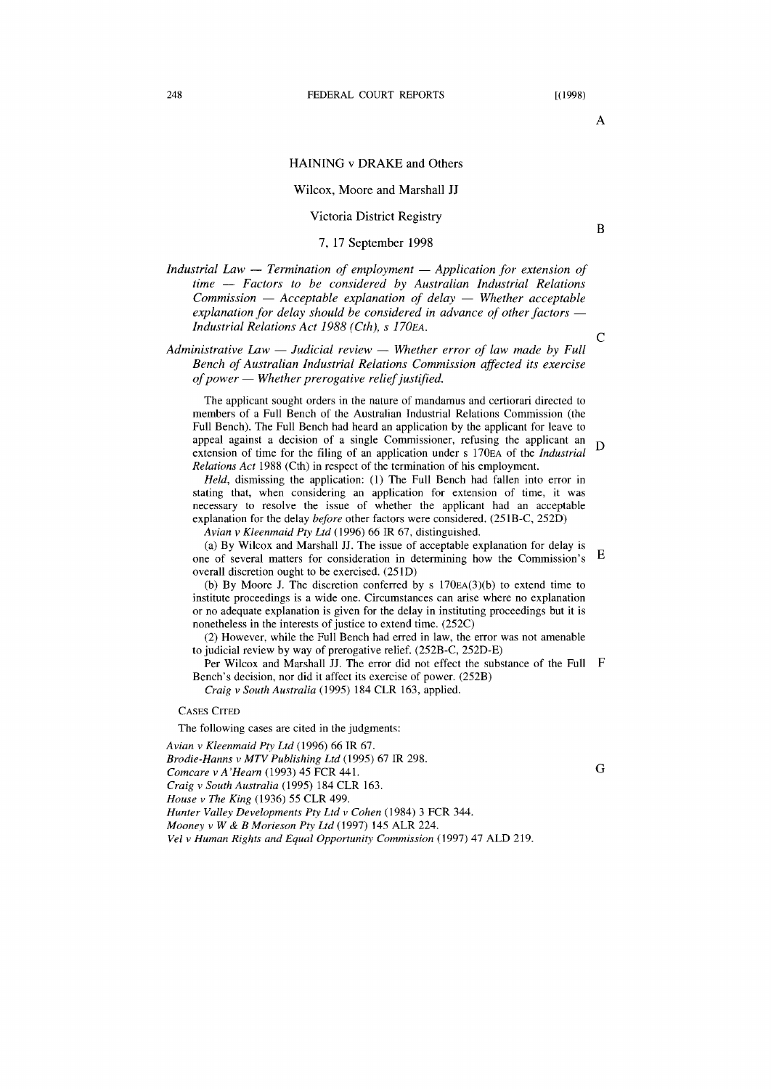A

B

## HAINING v DRAKE and Others

## Wilcox, Moore and Marshall JJ

## Victoria District Registry

## 7, 17 September 1998

*Industrial Law – Termination of employment – Application for extension of time* - *Factors to be considered by Australian Industrial Relations Commission* - *Acceptable explanation of delay* - *Whether acceptable explanation for delay should be considered in advance of other factors — Industrial Relations Act* 1988 *(Cth),* s *170EA.* 

*Administrative Law — Judicial review — Whether error of law made by Full Bench of Australian Industrial Relations Commission affected its exercise of power* - *Whether prerogative relief justified.* 

The applicant sought orders in the nature of mandamus and certiorari directed to members of a Full Bench of the Australian Industrial Relations Commission (the Full Bench). The Full Bench had heard an application by the applicant for leave to appeal against a decision of a single Commissioner, refusing the applicant an D extension of time for the filing of an application under s 170EA of the *Industrial Relations Act* 1988 (Cth) in respect of the termination of his employment.

*Held,* dismissing the application: (1) The Full Bench had fallen into error in stating that, when considering an application for extension of time, it was necessary to resolve the issue of whether the applicant had an acceptable explanation for the delay *before* other factors were considered. (251B-C, 252D)

*Avian v Kleenmaid Pty Ltd* (1996) 66 IR 67, distinguished.

(a) By Wilcox and Marshall JJ. The issue of acceptable explanation for delay is one of several matters for consideration in determining how the Commission's E overall discretion ought to be exercised. (251D)

(b) By Moore J. The discretion conferred by s  $170EA(3)(b)$  to extend time to institute proceedings is a wide one. Circumstances can arise where no explanation or no adequate explanation is given for the delay in instituting proceedings but it is nonetheless in the interests of justice to extend time. (252C)

(2) However, while the Full Bench had erred in law, the error was not amenable to judicial review by way of prerogative relief. (252B-C, 252D-E)

Per Wilcox and Marshall JJ. The error did not effect the substance of the Full F Bench's decision, nor did it affect its exercise of power. (252B)

*Craig* v *South Australia* (1995) 184 CLR 163, applied.

CASES CITED

The following cases are cited in the judgments:

*Avian* v *Kleenmaid Pty Ltd* (1996) 66 IR 67.

*Brodie-Hanns* v *MTV Publishing Ltd* (1995) 67 IR 298.

*Comcare* v *A 'Hearn* (1993) 45 FCR 441.

*Craig* v *South Australia* (1995) 184 CLR 163.

*House* v *The King* (1936) 55 CLR 499.

*Hunter Valley Developments Pty Ltd* v *Cohen* (1984) 3 FCR 344.

*Mooney* v *W* & *B Morieson Pty Ltd* (1997) 145 ALR 224.

*Vel* v *Human Rights and Equal Opportunity Commission* (1997) 47 ALD 219.

c

G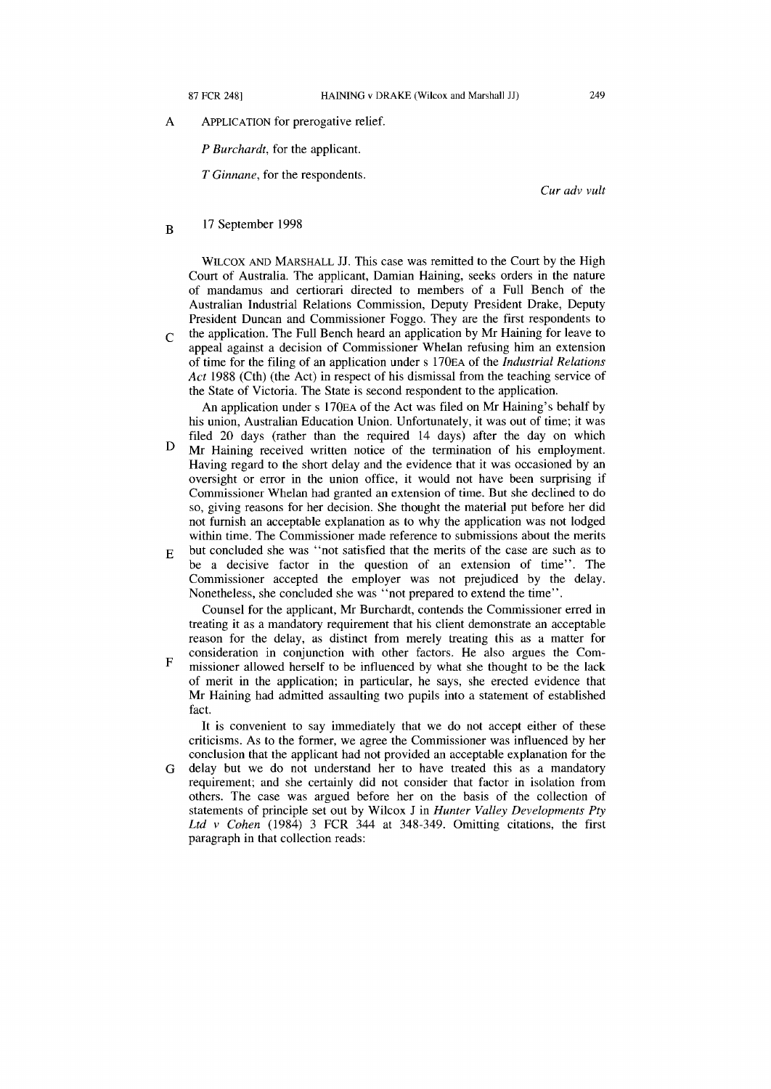A ApPLICATION for prerogative relief.

*P Burchardt,* for the applicant.

T *Ginnane,* for the respondents.

*Cur adv vult* 

B 17 September 1998

> WILCOX AND MARSHALL JJ. This case was remitted to the Court by the High Court of Australia. The applicant, Damian Haining, seeks orders in the nature of mandamus and certiorari directed to members of a Full Bench of the Australian Industrial Relations Commission, Deputy President Drake, Deputy President Duncan and Commissioner Foggo. They are the first respondents to

 $\Gamma$ the application. The Full Bench heard an application by Mr Haining for leave to appeal against a decision of Commissioner Whelan refusing him an extension of time for the filing of an application under s 170EA of the *Industrial Relations Act* 1988 (Cth) (the Act) in respect of his dismissal from the teaching service of the State of Victoria. The State is second respondent to the application.

An application under s 170EA of the Act was filed on Mr Haining's behalf by his union, Australian Education Union. Unfortunately, it was out of time; it was filed 20 days (rather than the required 14 days) after the day on which

- D Mr Haining received written notice of the termination of his employment. Having regard to the short delay and the evidence that it was occasioned by an oversight or error in the union office, it would not have been surprising if Commissioner Whelan had granted an extension of time. But she declined to do so, giving reasons for her decision. She thought the material put before her did not furnish an acceptable explanation as to why the application was not lodged within time. The Commissioner made reference to submissions about the merits
- E but concluded she was "not satisfied that the merits of the case are such as to be a decisive factor in the question of an extension of time". The Commissioner accepted the employer was not prejudiced by the delay. Nonetheless, she concluded she was "not prepared to extend the time".

Counsel for the applicant, Mr Burchardt, contends the Commissioner erred in treating it as a mandatory requirement that his client demonstrate an acceptable reason for the delay, as distinct from merely treating this as a matter for consideration in conjunction with other factors. He also argues the Com-

F missioner allowed herself to be influenced by what she thought to be the lack of merit in the application; in particular, he says, she erected evidence that Mr Haining had admitted assaulting two pupils into a statement of established fact.

It is convenient to say immediately that we do not accept either of these criticisms. As to the former, we agree the Commissioner was influenced by her conclusion that the applicant had not provided an acceptable explanation for the

G delay but we do not understand her to have treated this as a mandatory requirement; and she certainly did not consider that factor in isolation from others. The case was argued before her on the basis of the collection of statements of principle set out by Wilcox J in *Hunter Valley Developments Pty Ltd v Cohen* (1984) 3 FCR 344 at 348-349. Omitting citations, the first paragraph in that collection reads: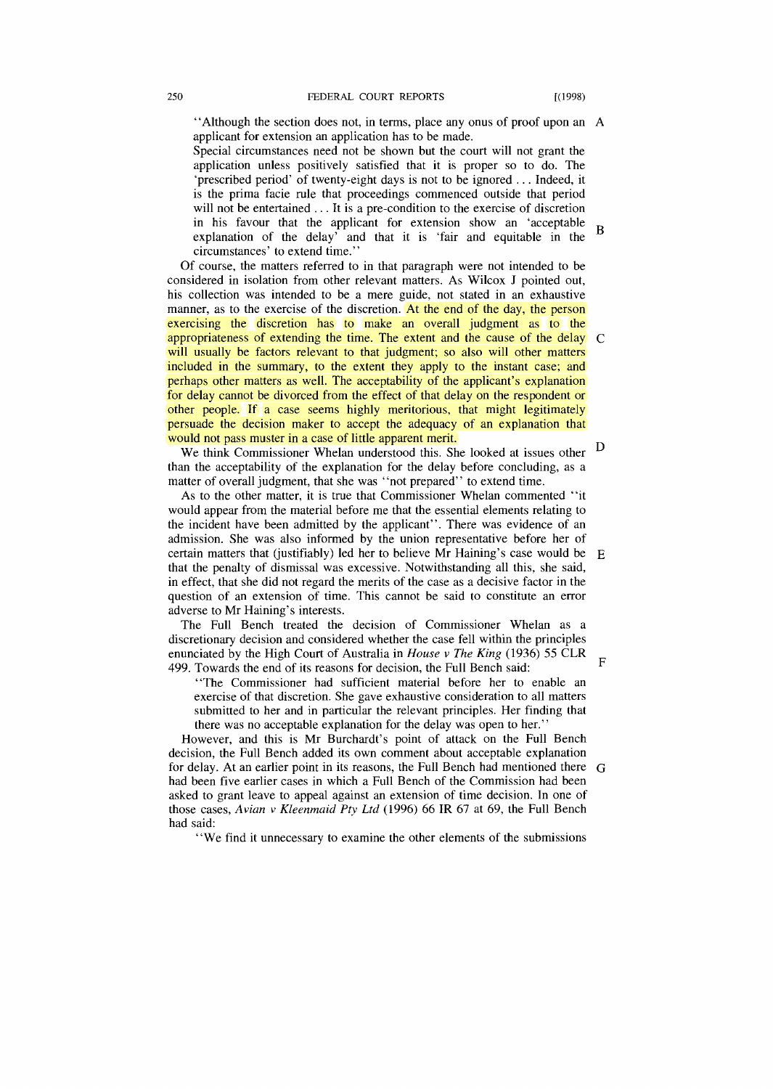"Although the section does not, in terms, place any onus of proof upon an A applicant for extension an application has to be made.

Special circumstances need not be shown but the court will not grant the application unless positively satisfied that it is proper so to do. The 'prescribed period' of twenty-eight days is not to be ignored ... Indeed, it is the prima facie rule that proceedings commenced outside that period will not be entertained . . . It is a pre-condition to the exercise of discretion in his favour that the applicant for extension show an 'acceptable B explanation of the delay' and that it is 'fair and equitable in the circumstances' to extend time."

Of course, the matters referred to in that paragraph were not intended to be considered in isolation from other relevant matters. As Wilcox J pointed out, his collection was intended to be a mere guide, not stated in an exhaustive manner, as to the exercise of the discretion. At the end of the day, the person exercising the discretion has to make an overall judgment as to the appropriateness of extending the time. The extent and the cause of the delay C will usually be factors relevant to that judgment; so also will other matters included in the summary, to the extent they apply to the instant case; and perhaps other matters as well. The acceptability of the applicant's explanation for delay cannot be divorced from the effect of that delay on the respondent or other people. If a case seems highly meritorious, that might legitimately persuade the decision maker to accept the adequacy of an explanation that would not pass muster in a case of little apparent merit.

We think Commissioner Whelan understood this. She looked at issues other D than the acceptability of the explanation for the delay before concluding, as a matter of overall judgment, that she was "not prepared" to extend time.

As to the other matter, it is true that Commissioner Whelan commented "it would appear from the material before me that the essential elements relating to the incident have been admitted by the applicant". There was evidence of an admission. She was also informed by the union representative before her of certain matters that (justifiably) led her to believe Mr Haining's case would be  $E$ that the penalty of dismissal was excessive. Notwithstanding all this, she said, in effect, that she did not regard the merits of the case as a decisive factor in the question of an extension of time. This cannot be said to constitute an error adverse to Mr Haining's interests.

The Full Bench treated the decision of Commissioner Whelan as a discretionary decision and considered whether the case fell within the principles enunciated by the High Court of Australia in *House v The King* (1936) 55 CLR 499. Towards the end of its reasons for decision, the Full Bench said: F

"The Commissioner had sufficient material before her to enable an exercise of that discretion. She gave exhaustive consideration to all matters submitted to her and in particular the relevant principles. Her finding that there was no acceptable explanation for the delay was open to her.'

However, and this is Mr Burchardt's point of attack on the Full Bench decision, the Full Bench added its own comment about acceptable explanation for delay. At an earlier point in its reasons, the Full Bench had mentioned there G had been five earlier cases in which a Full Bench of the Commission had been asked to grant leave to appeal against an extension of time decision. In one of those cases, *Avian v Kleenmaid Pty Ltd* (1996) 66 IR 67 at 69, the Full Bench had said:

"We find it unnecessary to examine the other elements of the submissions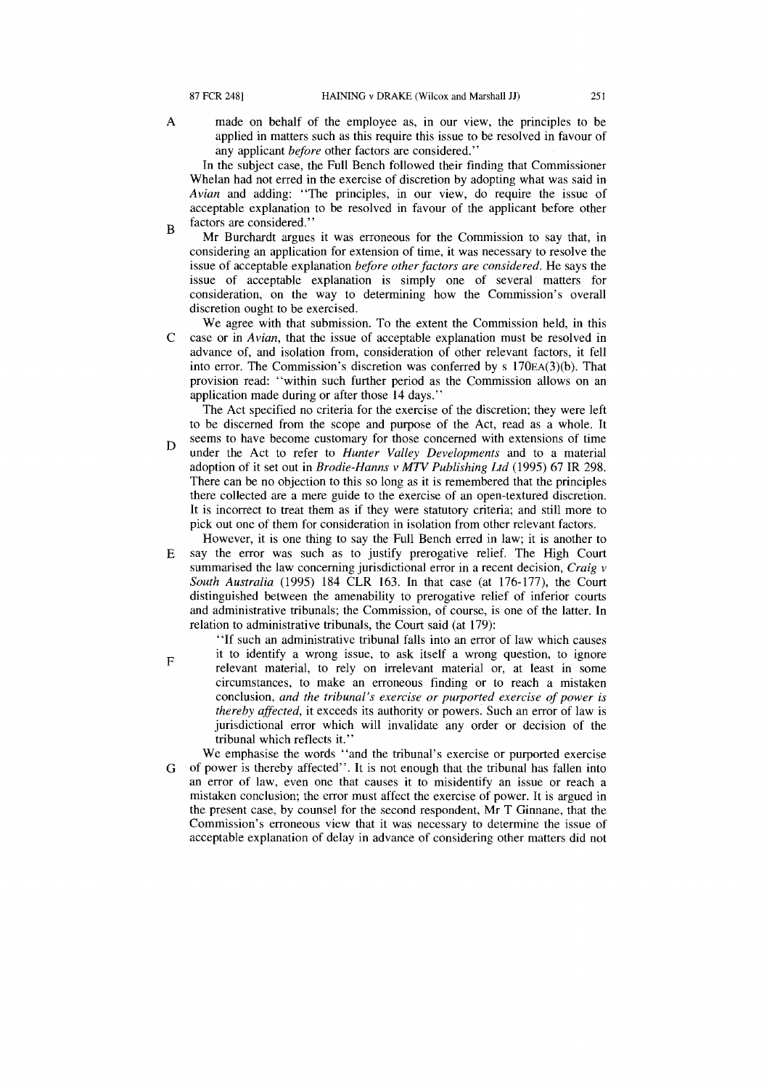A

F

made on behalf of the employee as, in our view, the principles to be applied in matters such as this require this issue to be resolved in favour of any applicant *before* other factors are considered."

In the subject case, the Full Bench followed their finding that Commissioner Whelan had not erred in the exercise of discretion by adopting what was said in *Avian* and adding: "The principles, in our view, do require the issue of acceptable explanation to be resolved in favour of the applicant before other factors are considered."

- B Mr Burchardt argues it was erroneous for the Commission to say that, in considering an application for extension of time, it was necessary to resolve the issue of acceptable explanation *before other factors are considered.* He says the issue of acceptable explanation is simply one of several matters for consideration, on the way to determining how the Commission's overall discretion ought to be exercised.
- $\mathcal{C}$ We agree with that submission. To the extent the Commission held, in this case or in *Avian,* that the issue of acceptable explanation must be resolved in advance of, and isolation from, consideration of other relevant factors, it fell into error. The Commission's discretion was conferred by s 170EA(3)(b). That provision read: "within such further period as the Commission allows on an application made during or after those 14 days."

The Act specified no criteria for the exercise of the discretion; they were left to be discerned from the scope and purpose of the Act, read as a whole. It

- D seems to have become customary for those concerned with extensions of time under the Act to refer to *Hunter Valley Developments* and to a material adoption of it set out in *Brodie-Hanns v MTV Publishing Ltd* (1995) 67 IR 298. There can be no objection to this so long as it is remembered that the principles there collected are a mere guide to the exercise of an open-textured discretion. It is incorrect to treat them as if they were statutory criteria; and still more to pick out one of them for consideration in isolation from other relevant factors.
- E However, it is one thing to say the Full Bench erred in law; it is another to say the error was such as to justify prerogative relief. The High Court summarised the law concerning jurisdictional error in a recent decision, *Craig v South Australia* (1995) 184 CLR 163. In that case (at 176-177), the Court distinguished between the amenability to prerogative relief of inferior courts and administrative tribunals; the Commission, of course, is one of the latter. In relation to administrative tribunals, the Court said (at 179):

"If such an administrative tribunal falls into an error of law which causes

- it to identify a wrong issue, to ask itself a wrong question, to ignore relevant material, to rely on irrelevant material or, at least in some circumstances, to make an erroneous finding or to reach a mistaken conclusion, *and the tribunal's exercise or purported exercise of power* is *thereby affected,* it exceeds its authority or powers. Such an error of law is jurisdictional error which will invalidate any order or decision of the tribunal which reflects it."
- G We emphasise the words "and the tribunal's exercise or purported exercise of power is thereby affected". It is not enough that the tribunal has fallen into an error of law, even one that causes it to misidentify an issue or reach a mistaken conclusion; the error must affect the exercise of power. It is argued in the present case, by counsel for the second respondent, Mr T Ginnane, that the Commission's erroneous view that it was necessary to determine the issue of acceptable explanation of delay in advance of considering other matters did not